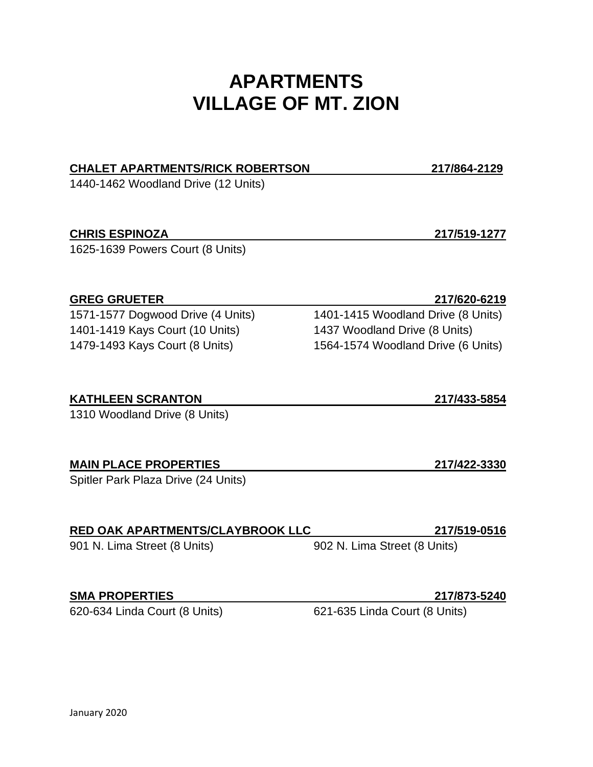# **APARTMENTS VILLAGE OF MT. ZION**

## **CHALET APARTMENTS/RICK ROBERTSON 217/864-2129**

1440-1462 Woodland Drive (12 Units)

## **CHRIS ESPINOZA 217/519-1277**

1625-1639 Powers Court (8 Units)

## **GREG GRUETER 217/620-6219**

1401-1419 Kays Court (10 Units) 1437 Woodland Drive (8 Units) 1479-1493 Kays Court (8 Units) 1564-1574 Woodland Drive (6 Units)

## **KATHLEEN SCRANTON 217/433-5854**

1310 Woodland Drive (8 Units)

## **MAIN PLACE PROPERTIES 217/422-3330**

Spitler Park Plaza Drive (24 Units)

## **RED OAK APARTMENTS/CLAYBROOK LLC 217/519-0516**

901 N. Lima Street (8 Units) 902 N. Lima Street (8 Units)

## **SMA PROPERTIES 217/873-5240**

620-634 Linda Court (8 Units) 621-635 Linda Court (8 Units)

1571-1577 Dogwood Drive (4 Units) 1401-1415 Woodland Drive (8 Units)